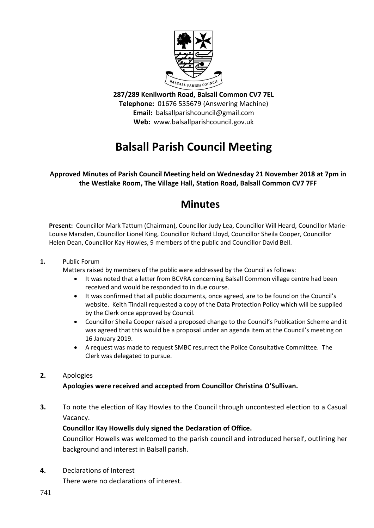

**287/289 Kenilworth Road, Balsall Common CV7 7EL Telephone:** 01676 535679 (Answering Machine) **Email:** balsallparishcouncil@gmail.com **Web:** www.balsallparishcouncil.gov.uk

# **Balsall Parish Council Meeting**

**Approved Minutes of Parish Council Meeting held on Wednesday 21 November 2018 at 7pm in the Westlake Room, The Village Hall, Station Road, Balsall Common CV7 7FF**

# **Minutes**

**Present:** Councillor Mark Tattum (Chairman), Councillor Judy Lea, Councillor Will Heard, Councillor Marie-Louise Marsden, Councillor Lionel King, Councillor Richard Lloyd, Councillor Sheila Cooper, Councillor Helen Dean, Councillor Kay Howles, 9 members of the public and Councillor David Bell.

## **1.** Public Forum

Matters raised by members of the public were addressed by the Council as follows:

- It was noted that a letter from BCVRA concerning Balsall Common village centre had been received and would be responded to in due course.
- It was confirmed that all public documents, once agreed, are to be found on the Council's website. Keith Tindall requested a copy of the Data Protection Policy which will be supplied by the Clerk once approved by Council.
- Councillor Sheila Cooper raised a proposed change to the Council's Publication Scheme and it was agreed that this would be a proposal under an agenda item at the Council's meeting on 16 January 2019.
- A request was made to request SMBC resurrect the Police Consultative Committee. The Clerk was delegated to pursue.

# **2.** Apologies

# **Apologies were received and accepted from Councillor Christina O'Sullivan.**

**3.** To note the election of Kay Howles to the Council through uncontested election to a Casual Vacancy.

# **Councillor Kay Howells duly signed the Declaration of Office.**

Councillor Howells was welcomed to the parish council and introduced herself, outlining her background and interest in Balsall parish.

**4.** Declarations of Interest

There were no declarations of interest.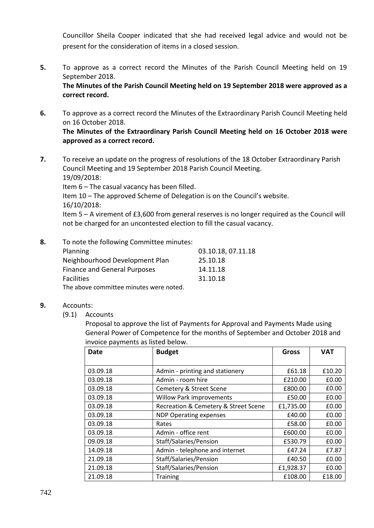Councillor Sheila Cooper indicated that she had received legal advice and would not be present for the consideration of items in a closed session.

**5.** To approve as a correct record the Minutes of the Parish Council Meeting held on 19 September 2018.

**The Minutes of the Parish Council Meeting held on 19 September 2018 were approved as a correct record.**

- **6.** To approve as a correct record the Minutes of the Extraordinary Parish Council Meeting held on 16 October 2018. **The Minutes of the Extraordinary Parish Council Meeting held on 16 October 2018 were approved as a correct record.**
- **7.** To receive an update on the progress of resolutions of the 18 October Extraordinary Parish Council Meeting and 19 September 2018 Parish Council Meeting. 19/09/2018:

Item 6 – The casual vacancy has been filled.

Item 10 – The approved Scheme of Delegation is on the Council's website. 16/10/2018:

Item 5 – A virement of £3,600 from general reserves is no longer required as the Council will not be charged for an uncontested election to fill the casual vacancy.

**8.** To note the following Committee minutes:

| <b>Planning</b>                         | 03.10.18, 07.11.18 |
|-----------------------------------------|--------------------|
| Neighbourhood Development Plan          | 25.10.18           |
| Finance and General Purposes            | 14.11.18           |
| <b>Facilities</b>                       | 31.10.18           |
| The above committee minutes were noted. |                    |

- **9.** Accounts:
	- (9.1) Accounts

Proposal to approve the list of Payments for Approval and Payments Made using General Power of Competence for the months of September and October 2018 and invoice payments as listed below.

| Date     | <b>Budget</b>                        | <b>Gross</b> | <b>VAT</b> |
|----------|--------------------------------------|--------------|------------|
|          |                                      |              |            |
| 03.09.18 | Admin - printing and stationery      | £61.18       | £10.20     |
| 03.09.18 | Admin - room hire                    | £210.00      | £0.00      |
| 03.09.18 | Cemetery & Street Scene              | £800.00      | £0.00      |
| 03.09.18 | <b>Willow Park improvements</b>      | £50.00       | £0.00      |
| 03.09.18 | Recreation & Cemetery & Street Scene | £1,735.00    | £0.00      |
| 03.09.18 | <b>NDP Operating expenses</b>        | £40.00       | £0.00      |
| 03.09.18 | Rates                                | £58.00       | £0.00      |
| 03.09.18 | Admin - office rent                  | £600.00      | £0.00      |
| 09.09.18 | Staff/Salaries/Pension               | £530.79      | £0.00      |
| 14.09.18 | Admin - telephone and internet       | £47.24       | £7.87      |
| 21.09.18 | Staff/Salaries/Pension               | £40.50       | £0.00      |
| 21.09.18 | Staff/Salaries/Pension               | £1,928.37    | £0.00      |
| 21.09.18 | <b>Training</b>                      | £108.00      | £18.00     |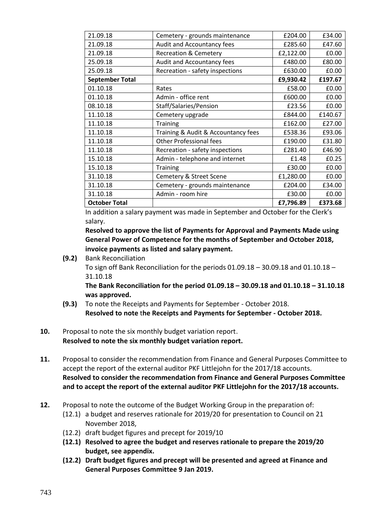| 21.09.18               | Cemetery - grounds maintenance      | £204.00   | £34.00  |
|------------------------|-------------------------------------|-----------|---------|
| 21.09.18               | Audit and Accountancy fees          | £285.60   | £47.60  |
| 21.09.18               | <b>Recreation &amp; Cemetery</b>    | £2,122.00 | £0.00   |
| 25.09.18               | Audit and Accountancy fees          | £480.00   | £80.00  |
| 25.09.18               | Recreation - safety inspections     | £630.00   | £0.00   |
| <b>September Total</b> |                                     | £9,930.42 | £197.67 |
| 01.10.18               | Rates                               | £58.00    | £0.00   |
| 01.10.18               | Admin - office rent                 | £600.00   | £0.00   |
| 08.10.18               | Staff/Salaries/Pension              | £23.56    | £0.00   |
| 11.10.18               | Cemetery upgrade                    | £844.00   | £140.67 |
| 11.10.18               | <b>Training</b>                     | £162.00   | £27.00  |
| 11.10.18               | Training & Audit & Accountancy fees | £538.36   | £93.06  |
| 11.10.18               | <b>Other Professional fees</b>      | £190.00   | £31.80  |
| 11.10.18               | Recreation - safety inspections     | £281.40   | £46.90  |
| 15.10.18               | Admin - telephone and internet      | £1.48     | £0.25   |
| 15.10.18               | <b>Training</b>                     | £30.00    | £0.00   |
| 31.10.18               | Cemetery & Street Scene             | £1,280.00 | £0.00   |
| 31.10.18               | Cemetery - grounds maintenance      | £204.00   | £34.00  |
| 31.10.18               | Admin - room hire                   | £30.00    | £0.00   |
| <b>October Total</b>   |                                     | £7,796.89 | £373.68 |

In addition a salary payment was made in September and October for the Clerk's salary.

**Resolved to approve the list of Payments for Approval and Payments Made using General Power of Competence for the months of September and October 2018, invoice payments as listed and salary payment.**

**(9.2)** Bank Reconciliation

To sign off Bank Reconciliation for the periods 01.09.18 – 30.09.18 and 01.10.18 – 31.10.18

**The Bank Reconciliation for the period 01.09.18 – 30.09.18 and 01.10.18 – 31.10.18 was approved.**

- **(9.3)** To note the Receipts and Payments for September October 2018. **Resolved to note** t**he Receipts and Payments for September - October 2018.**
- **10.** Proposal to note the six monthly budget variation report. **Resolved to note the six monthly budget variation report.**
- **11.** Proposal to consider the recommendation from Finance and General Purposes Committee to accept the report of the external auditor PKF Littlejohn for the 2017/18 accounts. **Resolved to consider the recommendation from Finance and General Purposes Committee and to accept the report of the external auditor PKF Littlejohn for the 2017/18 accounts.**
- **12.** Proposal to note the outcome of the Budget Working Group in the preparation of:
	- (12.1) a budget and reserves rationale for 2019/20 for presentation to Council on 21 November 2018,
	- (12.2) draft budget figures and precept for 2019/10
	- **(12.1) Resolved to agree the budget and reserves rationale to prepare the 2019/20 budget, see appendix.**
	- **(12.2) Draft budget figures and precept will be presented and agreed at Finance and General Purposes Committee 9 Jan 2019.**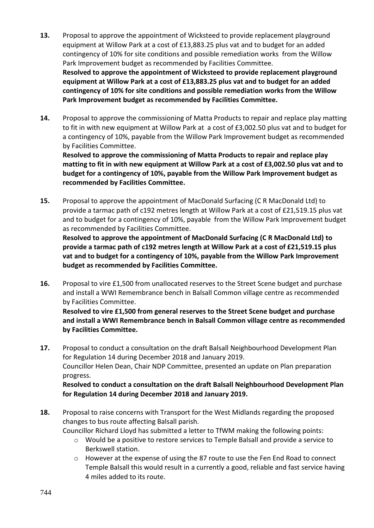- **13.** Proposal to approve the appointment of Wicksteed to provide replacement playground equipment at Willow Park at a cost of £13,883.25 plus vat and to budget for an added contingency of 10% for site conditions and possible remediation works from the Willow Park Improvement budget as recommended by Facilities Committee. **Resolved to approve the appointment of Wicksteed to provide replacement playground equipment at Willow Park at a cost of £13,883.25 plus vat and to budget for an added contingency of 10% for site conditions and possible remediation works from the Willow Park Improvement budget as recommended by Facilities Committee.**
- **14.** Proposal to approve the commissioning of Matta Products to repair and replace play matting to fit in with new equipment at Willow Park at a cost of £3,002.50 plus vat and to budget for a contingency of 10%, payable from the Willow Park Improvement budget as recommended by Facilities Committee.

**Resolved to approve the commissioning of Matta Products to repair and replace play matting to fit in with new equipment at Willow Park at a cost of £3,002.50 plus vat and to budget for a contingency of 10%, payable from the Willow Park Improvement budget as recommended by Facilities Committee.**

**15.** Proposal to approve the appointment of MacDonald Surfacing (C R MacDonald Ltd) to provide a tarmac path of c192 metres length at Willow Park at a cost of £21,519.15 plus vat and to budget for a contingency of 10%, payable from the Willow Park Improvement budget as recommended by Facilities Committee.

**Resolved to approve the appointment of MacDonald Surfacing (C R MacDonald Ltd) to provide a tarmac path of c192 metres length at Willow Park at a cost of £21,519.15 plus vat and to budget for a contingency of 10%, payable from the Willow Park Improvement budget as recommended by Facilities Committee.** 

**16.** Proposal to vire £1,500 from unallocated reserves to the Street Scene budget and purchase and install a WWI Remembrance bench in Balsall Common village centre as recommended by Facilities Committee.

**Resolved to vire £1,500 from general reserves to the Street Scene budget and purchase and install a WWI Remembrance bench in Balsall Common village centre as recommended by Facilities Committee.**

**17.** Proposal to conduct a consultation on the draft Balsall Neighbourhood Development Plan for Regulation 14 during December 2018 and January 2019. Councillor Helen Dean, Chair NDP Committee, presented an update on Plan preparation progress. **Resolved to conduct a consultation on the draft Balsall Neighbourhood Development Plan** 

**for Regulation 14 during December 2018 and January 2019.**

**18.** Proposal to raise concerns with Transport for the West Midlands regarding the proposed changes to bus route affecting Balsall parish.

Councillor Richard Lloyd has submitted a letter to TfWM making the following points:

- o Would be a positive to restore services to Temple Balsall and provide a service to Berkswell station.
- $\circ$  However at the expense of using the 87 route to use the Fen End Road to connect Temple Balsall this would result in a currently a good, reliable and fast service having 4 miles added to its route.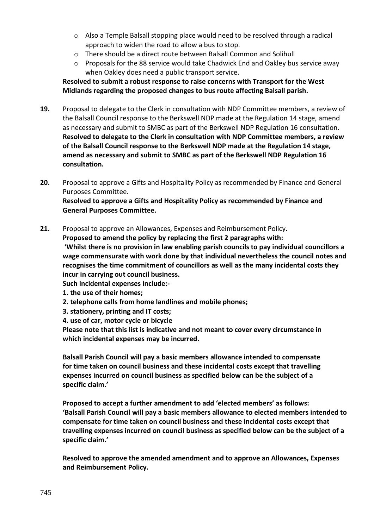- o Also a Temple Balsall stopping place would need to be resolved through a radical approach to widen the road to allow a bus to stop.
- o There should be a direct route between Balsall Common and Solihull
- o Proposals for the 88 service would take Chadwick End and Oakley bus service away when Oakley does need a public transport service.

**Resolved to submit a robust response to raise concerns with Transport for the West Midlands regarding the proposed changes to bus route affecting Balsall parish.**

- **19.** Proposal to delegate to the Clerk in consultation with NDP Committee members, a review of the Balsall Council response to the Berkswell NDP made at the Regulation 14 stage, amend as necessary and submit to SMBC as part of the Berkswell NDP Regulation 16 consultation. **Resolved to delegate to the Clerk in consultation with NDP Committee members, a review of the Balsall Council response to the Berkswell NDP made at the Regulation 14 stage, amend as necessary and submit to SMBC as part of the Berkswell NDP Regulation 16 consultation.**
- **20.** Proposal to approve a Gifts and Hospitality Policy as recommended by Finance and General Purposes Committee. **Resolved to approve a Gifts and Hospitality Policy as recommended by Finance and General Purposes Committee.**

**21.** Proposal to approve an Allowances, Expenses and Reimbursement Policy. **Proposed to amend the policy by replacing the first 2 paragraphs with: 'Whilst there is no provision in law enabling parish councils to pay individual councillors a wage commensurate with work done by that individual nevertheless the council notes and recognises the time commitment of councillors as well as the many incidental costs they incur in carrying out council business. Such incidental expenses include:-**

- **1. the use of their homes;**
- **2. telephone calls from home landlines and mobile phones;**
- **3. stationery, printing and IT costs;**
- **4. use of car, motor cycle or bicycle**

**Please note that this list is indicative and not meant to cover every circumstance in which incidental expenses may be incurred.**

**Balsall Parish Council will pay a basic members allowance intended to compensate for time taken on council business and these incidental costs except that travelling expenses incurred on council business as specified below can be the subject of a specific claim.'**

**Proposed to accept a further amendment to add 'elected members' as follows: 'Balsall Parish Council will pay a basic members allowance to elected members intended to compensate for time taken on council business and these incidental costs except that travelling expenses incurred on council business as specified below can be the subject of a specific claim.'**

**Resolved to approve the amended amendment and to approve an Allowances, Expenses and Reimbursement Policy.**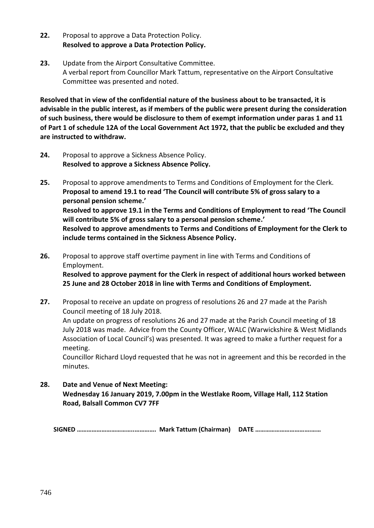- **22.** Proposal to approve a Data Protection Policy. **Resolved to approve a Data Protection Policy.**
- **23.** Update from the Airport Consultative Committee. A verbal report from Councillor Mark Tattum, representative on the Airport Consultative Committee was presented and noted.

**Resolved that in view of the confidential nature of the business about to be transacted, it is advisable in the public interest, as if members of the public were present during the consideration of such business, there would be disclosure to them of exempt information under paras 1 and 11 of Part 1 of schedule 12A of the Local Government Act 1972, that the public be excluded and they are instructed to withdraw.**

- **24.** Proposal to approve a Sickness Absence Policy. **Resolved to approve a Sickness Absence Policy.**
- **25.** Proposal to approve amendments to Terms and Conditions of Employment for the Clerk. **Proposal to amend 19.1 to read 'The Council will contribute 5% of gross salary to a personal pension scheme.' Resolved to approve 19.1 in the Terms and Conditions of Employment to read 'The Council will contribute 5% of gross salary to a personal pension scheme.' Resolved to approve amendments to Terms and Conditions of Employment for the Clerk to include terms contained in the Sickness Absence Policy.**
- **26.** Proposal to approve staff overtime payment in line with Terms and Conditions of Employment. **Resolved to approve payment for the Clerk in respect of additional hours worked between 25 June and 28 October 2018 in line with Terms and Conditions of Employment.**
- **27.** Proposal to receive an update on progress of resolutions 26 and 27 made at the Parish Council meeting of 18 July 2018. An update on progress of resolutions 26 and 27 made at the Parish Council meeting of 18 July 2018 was made. Advice from the County Officer, WALC (Warwickshire & West Midlands Association of Local Council's) was presented. It was agreed to make a further request for a meeting.

Councillor Richard Lloyd requested that he was not in agreement and this be recorded in the minutes.

**28. Date and Venue of Next Meeting: Wednesday 16 January 2019, 7.00pm in the Westlake Room, Village Hall, 112 Station Road, Balsall Common CV7 7FF**

**SIGNED ……………………………..…………. Mark Tattum (Chairman) DATE …………………………….……**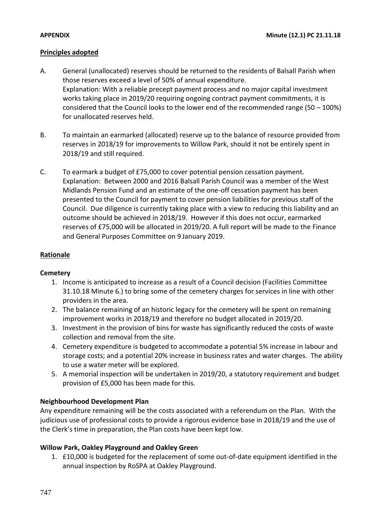# **Principles adopted**

- A. General (unallocated) reserves should be returned to the residents of Balsall Parish when those reserves exceed a level of 50% of annual expenditure. Explanation: With a reliable precept payment process and no major capital investment works taking place in 2019/20 requiring ongoing contract payment commitments, it is considered that the Council looks to the lower end of the recommended range (50 – 100%) for unallocated reserves held.
- B. To maintain an earmarked (allocated) reserve up to the balance of resource provided from reserves in 2018/19 for improvements to Willow Park, should it not be entirely spent in 2018/19 and still required.
- C. To earmark a budget of £75,000 to cover potential pension cessation payment. Explanation: Between 2000 and 2016 Balsall Parish Council was a member of the West Midlands Pension Fund and an estimate of the one-off cessation payment has been presented to the Council for payment to cover pension liabilities for previous staff of the Council. Due diligence is currently taking place with a view to reducing this liability and an outcome should be achieved in 2018/19. However if this does not occur, earmarked reserves of £75,000 will be allocated in 2019/20. A full report will be made to the Finance and General Purposes Committee on 9 January 2019.

# **Rationale**

#### **Cemetery**

- 1. Income is anticipated to increase as a result of a Council decision (Facilities Committee 31.10.18 Minute 6.) to bring some of the cemetery charges for services in line with other providers in the area.
- 2. The balance remaining of an historic legacy for the cemetery will be spent on remaining improvement works in 2018/19 and therefore no budget allocated in 2019/20.
- 3. Investment in the provision of bins for waste has significantly reduced the costs of waste collection and removal from the site.
- 4. Cemetery expenditure is budgeted to accommodate a potential 5% increase in labour and storage costs; and a potential 20% increase in business rates and water charges. The ability to use a water meter will be explored.
- 5. A memorial inspection will be undertaken in 2019/20, a statutory requirement and budget provision of £5,000 has been made for this.

# **Neighbourhood Development Plan**

Any expenditure remaining will be the costs associated with a referendum on the Plan. With the judicious use of professional costs to provide a rigorous evidence base in 2018/19 and the use of the Clerk's time in preparation, the Plan costs have been kept low.

# **Willow Park, Oakley Playground and Oakley Green**

1. £10,000 is budgeted for the replacement of some out-of-date equipment identified in the annual inspection by RoSPA at Oakley Playground.